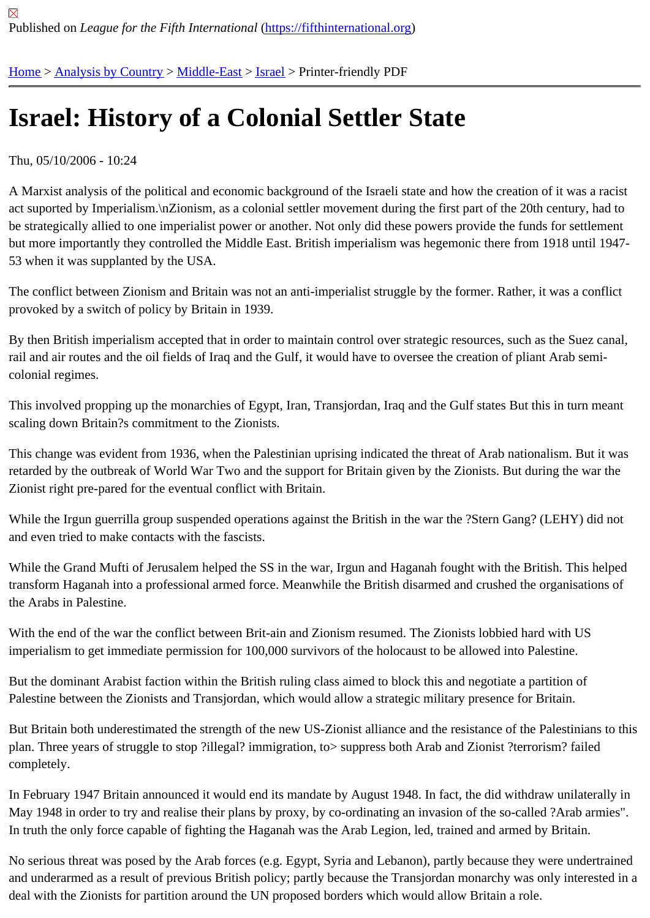## [Isra](https://fifthinternational.org/)[el: History](https://fifthinternational.org/category/1) [of a C](https://fifthinternational.org/category/1/178)[olon](https://fifthinternational.org/category/1/178/465)ial Settler State

Thu, 05/10/2006 - 10:24

A Marxist analysis of the political and economic background of the Israeli state and how the creation of it was a rac act suported by Imperialism.\nZionism, as a colonial settler movement during the first part of the 20th century, had be strategically allied to one imperialist power or another. Not only did these powers provide the funds for settleme but more importantly they controlled the Middle East. British imperialism was hegemonic there from 1918 until 194 53 when it was supplanted by the USA.

The conflict between Zionism and Britain was not an anti-imperialist struggle by the former. Rather, it was a conflic provoked by a switch of policy by Britain in 1939.

By then British imperialism accepted that in order to maintain control over strategic resources, such as the Suez ca rail and air routes and the oil fields of Iraq and the Gulf, it would have to oversee the creation of pliant Arab semicolonial regimes.

This involved propping up the monarchies of Egypt, Iran, Transjordan, Iraq and the Gulf states But this in turn mea scaling down Britain?s commitment to the Zionists.

This change was evident from 1936, when the Palestinian uprising indicated the threat of Arab nationalism. But it w retarded by the outbreak of World War Two and the support for Britain given by the Zionists. But during the war the Zionist right pre-pared for the eventual conflict with Britain.

While the Irgun guerrilla group suspended operations against the British in the war the ?Stern Gang? (LEHY) did r and even tried to make contacts with the fascists.

While the Grand Mufti of Jerusalem helped the SS in the war, Irgun and Haganah fought with the British. This help transform Haganah into a professional armed force. Meanwhile the British disarmed and crushed the organisation the Arabs in Palestine.

With the end of the war the conflict between Brit-ain and Zionism resumed. The Zionists lobbied hard with US imperialism to get immediate permission for 100,000 survivors of the holocaust to be allowed into Palestine.

But the dominant Arabist faction within the British ruling class aimed to block this and negotiate a partition of Palestine between the Zionists and Transjordan, which would allow a strategic military presence for Britain.

But Britain both underestimated the strength of the new US-Zionist alliance and the resistance of the Palestinians plan. Three years of struggle to stop ?illegal? immigration, to> suppress both Arab and Zionist ?terrorism? failed completely.

In February 1947 Britain announced it would end its mandate by August 1948. In fact, the did withdraw unilaterally May 1948 in order to try and realise their plans by proxy, by co-ordinating an invasion of the so-called ?Arab armie In truth the only force capable of fighting the Haganah was the Arab Legion, led, trained and armed by Britain.

No serious threat was posed by the Arab forces (e.g. Egypt, Syria and Lebanon), partly because they were undert and underarmed as a result of previous British policy; partly because the Transjordan monarchy was only intereste deal with the Zionists for partition around the UN proposed borders which would allow Britain a role.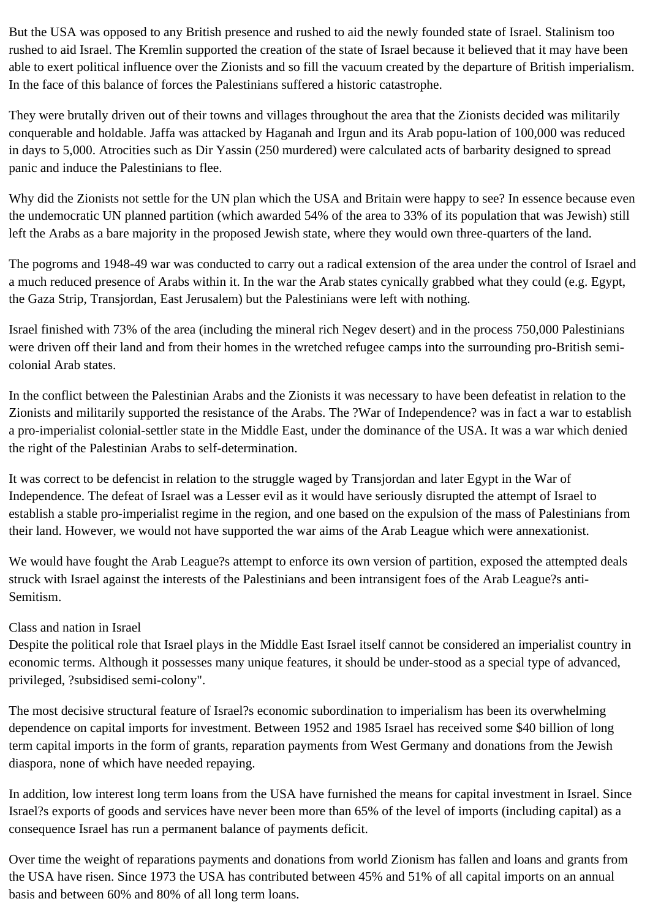But the USA was opposed to any British presence and rushed to aid the newly founded state of Israel. Stalinism too rushed to aid Israel. The Kremlin supported the creation of the state of Israel because it believed that it may have been able to exert political influence over the Zionists and so fill the vacuum created by the departure of British imperialism. In the face of this balance of forces the Palestinians suffered a historic catastrophe.

They were brutally driven out of their towns and villages throughout the area that the Zionists decided was militarily conquerable and holdable. Jaffa was attacked by Haganah and Irgun and its Arab popu-lation of 100,000 was reduced in days to 5,000. Atrocities such as Dir Yassin (250 murdered) were calculated acts of barbarity designed to spread panic and induce the Palestinians to flee.

Why did the Zionists not settle for the UN plan which the USA and Britain were happy to see? In essence because even the undemocratic UN planned partition (which awarded 54% of the area to 33% of its population that was Jewish) still left the Arabs as a bare majority in the proposed Jewish state, where they would own three-quarters of the land.

The pogroms and 1948-49 war was conducted to carry out a radical extension of the area under the control of Israel and a much reduced presence of Arabs within it. In the war the Arab states cynically grabbed what they could (e.g. Egypt, the Gaza Strip, Transjordan, East Jerusalem) but the Palestinians were left with nothing.

Israel finished with 73% of the area (including the mineral rich Negev desert) and in the process 750,000 Palestinians were driven off their land and from their homes in the wretched refugee camps into the surrounding pro-British semicolonial Arab states.

In the conflict between the Palestinian Arabs and the Zionists it was necessary to have been defeatist in relation to the Zionists and militarily supported the resistance of the Arabs. The ?War of Independence? was in fact a war to establish a pro-imperialist colonial-settler state in the Middle East, under the dominance of the USA. It was a war which denied the right of the Palestinian Arabs to self-determination.

It was correct to be defencist in relation to the struggle waged by Transjordan and later Egypt in the War of Independence. The defeat of Israel was a Lesser evil as it would have seriously disrupted the attempt of Israel to establish a stable pro-imperialist regime in the region, and one based on the expulsion of the mass of Palestinians from their land. However, we would not have supported the war aims of the Arab League which were annexationist.

We would have fought the Arab League?s attempt to enforce its own version of partition, exposed the attempted deals struck with Israel against the interests of the Palestinians and been intransigent foes of the Arab League?s anti-Semitism.

## Class and nation in Israel

Despite the political role that Israel plays in the Middle East Israel itself cannot be considered an imperialist country in economic terms. Although it possesses many unique features, it should be under-stood as a special type of advanced, privileged, ?subsidised semi-colony".

The most decisive structural feature of Israel?s economic subordination to imperialism has been its overwhelming dependence on capital imports for investment. Between 1952 and 1985 Israel has received some \$40 billion of long term capital imports in the form of grants, reparation payments from West Germany and donations from the Jewish diaspora, none of which have needed repaying.

In addition, low interest long term loans from the USA have furnished the means for capital investment in Israel. Since Israel?s exports of goods and services have never been more than 65% of the level of imports (including capital) as a consequence Israel has run a permanent balance of payments deficit.

Over time the weight of reparations payments and donations from world Zionism has fallen and loans and grants from the USA have risen. Since 1973 the USA has contributed between 45% and 51% of all capital imports on an annual basis and between 60% and 80% of all long term loans.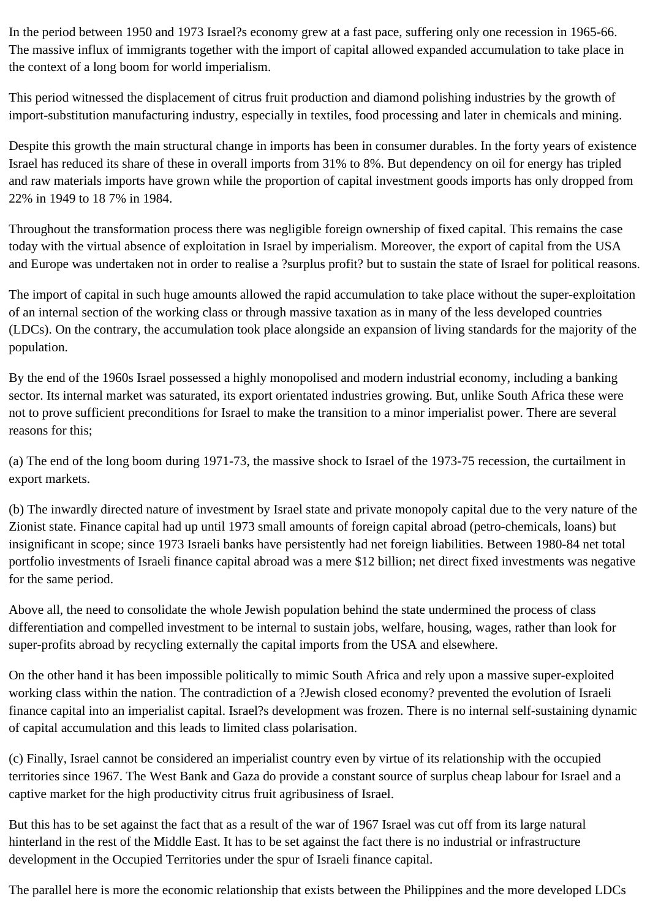In the period between 1950 and 1973 Israel?s economy grew at a fast pace, suffering only one recession in 1965-66. The massive influx of immigrants together with the import of capital allowed expanded accumulation to take place in the context of a long boom for world imperialism.

This period witnessed the displacement of citrus fruit production and diamond polishing industries by the growth of import-substitution manufacturing industry, especially in textiles, food processing and later in chemicals and mining.

Despite this growth the main structural change in imports has been in consumer durables. In the forty years of existence Israel has reduced its share of these in overall imports from 31% to 8%. But dependency on oil for energy has tripled and raw materials imports have grown while the proportion of capital investment goods imports has only dropped from 22% in 1949 to 18 7% in 1984.

Throughout the transformation process there was negligible foreign ownership of fixed capital. This remains the case today with the virtual absence of exploitation in Israel by imperialism. Moreover, the export of capital from the USA and Europe was undertaken not in order to realise a ?surplus profit? but to sustain the state of Israel for political reasons.

The import of capital in such huge amounts allowed the rapid accumulation to take place without the super-exploitation of an internal section of the working class or through massive taxation as in many of the less developed countries (LDCs). On the contrary, the accumulation took place alongside an expansion of living standards for the majority of the population.

By the end of the 1960s Israel possessed a highly monopolised and modern industrial economy, including a banking sector. Its internal market was saturated, its export orientated industries growing. But, unlike South Africa these were not to prove sufficient preconditions for Israel to make the transition to a minor imperialist power. There are several reasons for this;

(a) The end of the long boom during 1971-73, the massive shock to Israel of the 1973-75 recession, the curtailment in export markets.

(b) The inwardly directed nature of investment by Israel state and private monopoly capital due to the very nature of the Zionist state. Finance capital had up until 1973 small amounts of foreign capital abroad (petro-chemicals, loans) but insignificant in scope; since 1973 Israeli banks have persistently had net foreign liabilities. Between 1980-84 net total portfolio investments of Israeli finance capital abroad was a mere \$12 billion; net direct fixed investments was negative for the same period.

Above all, the need to consolidate the whole Jewish population behind the state undermined the process of class differentiation and compelled investment to be internal to sustain jobs, welfare, housing, wages, rather than look for super-profits abroad by recycling externally the capital imports from the USA and elsewhere.

On the other hand it has been impossible politically to mimic South Africa and rely upon a massive super-exploited working class within the nation. The contradiction of a ?Jewish closed economy? prevented the evolution of Israeli finance capital into an imperialist capital. Israel?s development was frozen. There is no internal self-sustaining dynamic of capital accumulation and this leads to limited class polarisation.

(c) Finally, Israel cannot be considered an imperialist country even by virtue of its relationship with the occupied territories since 1967. The West Bank and Gaza do provide a constant source of surplus cheap labour for Israel and a captive market for the high productivity citrus fruit agribusiness of Israel.

But this has to be set against the fact that as a result of the war of 1967 Israel was cut off from its large natural hinterland in the rest of the Middle East. It has to be set against the fact there is no industrial or infrastructure development in the Occupied Territories under the spur of Israeli finance capital.

The parallel here is more the economic relationship that exists between the Philippines and the more developed LDCs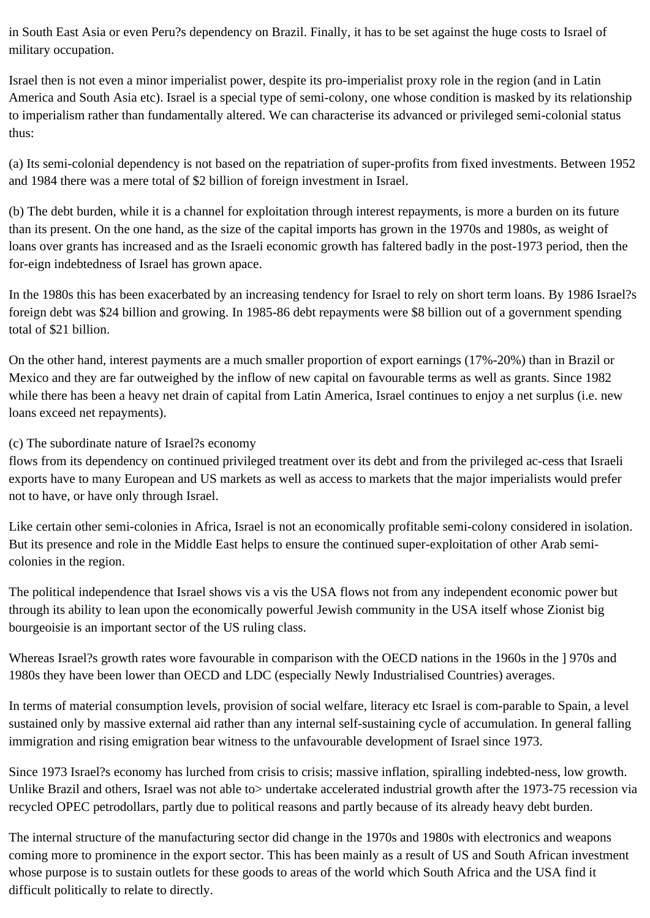in South East Asia or even Peru?s dependency on Brazil. Finally, it has to be set against the huge costs to Israel of military occupation.

Israel then is not even a minor imperialist power, despite its pro-imperialist proxy role in the region (and in Latin America and South Asia etc). Israel is a special type of semi-colony, one whose condition is masked by its relationship to imperialism rather than fundamentally altered. We can characterise its advanced or privileged semi-colonial status thus:

(a) Its semi-colonial dependency is not based on the repatriation of super-profits from fixed investments. Between 1952 and 1984 there was a mere total of \$2 billion of foreign investment in Israel.

(b) The debt burden, while it is a channel for exploitation through interest repayments, is more a burden on its future than its present. On the one hand, as the size of the capital imports has grown in the 1970s and 1980s, as weight of loans over grants has increased and as the Israeli economic growth has faltered badly in the post-1973 period, then the for-eign indebtedness of Israel has grown apace.

In the 1980s this has been exacerbated by an increasing tendency for Israel to rely on short term loans. By 1986 Israel?s foreign debt was \$24 billion and growing. In 1985-86 debt repayments were \$8 billion out of a government spending total of \$21 billion.

On the other hand, interest payments are a much smaller proportion of export earnings (17%-20%) than in Brazil or Mexico and they are far outweighed by the inflow of new capital on favourable terms as well as grants. Since 1982 while there has been a heavy net drain of capital from Latin America, Israel continues to enjoy a net surplus (i.e. new loans exceed net repayments).

## (c) The subordinate nature of Israel?s economy

flows from its dependency on continued privileged treatment over its debt and from the privileged ac-cess that Israeli exports have to many European and US markets as well as access to markets that the major imperialists would prefer not to have, or have only through Israel.

Like certain other semi-colonies in Africa, Israel is not an economically profitable semi-colony considered in isolation. But its presence and role in the Middle East helps to ensure the continued super-exploitation of other Arab semicolonies in the region.

The political independence that Israel shows vis a vis the USA flows not from any independent economic power but through its ability to lean upon the economically powerful Jewish community in the USA itself whose Zionist big bourgeoisie is an important sector of the US ruling class.

Whereas Israel?s growth rates wore favourable in comparison with the OECD nations in the 1960s in the 1970s and 1980s they have been lower than OECD and LDC (especially Newly Industrialised Countries) averages.

In terms of material consumption levels, provision of social welfare, literacy etc Israel is com-parable to Spain, a level sustained only by massive external aid rather than any internal self-sustaining cycle of accumulation. In general falling immigration and rising emigration bear witness to the unfavourable development of Israel since 1973.

Since 1973 Israel?s economy has lurched from crisis to crisis; massive inflation, spiralling indebted-ness, low growth. Unlike Brazil and others, Israel was not able to> undertake accelerated industrial growth after the 1973-75 recession via recycled OPEC petrodollars, partly due to political reasons and partly because of its already heavy debt burden.

The internal structure of the manufacturing sector did change in the 1970s and 1980s with electronics and weapons coming more to prominence in the export sector. This has been mainly as a result of US and South African investment whose purpose is to sustain outlets for these goods to areas of the world which South Africa and the USA find it difficult politically to relate to directly.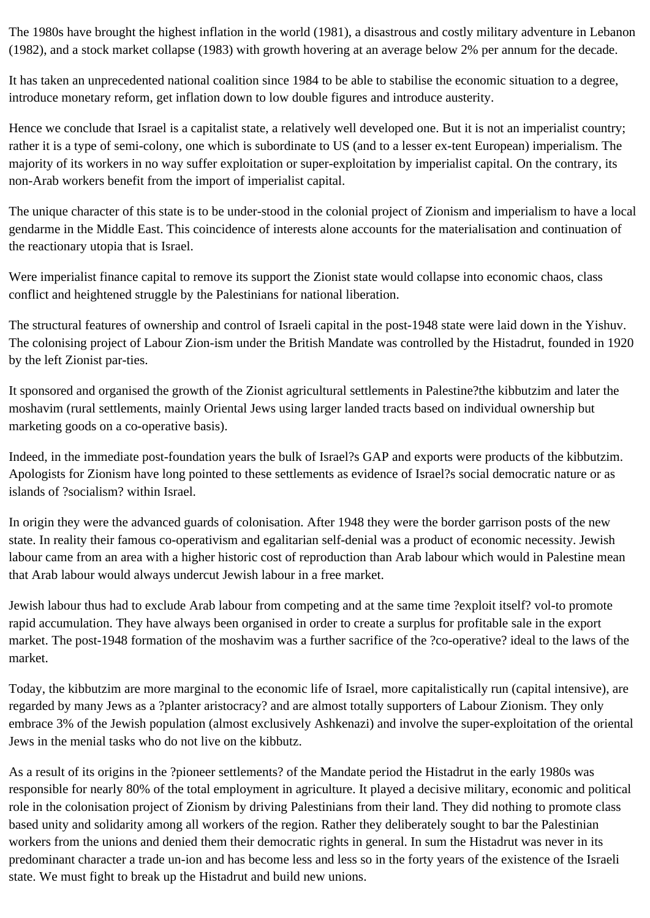The 1980s have brought the highest inflation in the world (1981), a disastrous and costly military adventure in Lebanon (1982), and a stock market collapse (1983) with growth hovering at an average below 2% per annum for the decade.

It has taken an unprecedented national coalition since 1984 to be able to stabilise the economic situation to a degree, introduce monetary reform, get inflation down to low double figures and introduce austerity.

Hence we conclude that Israel is a capitalist state, a relatively well developed one. But it is not an imperialist country; rather it is a type of semi-colony, one which is subordinate to US (and to a lesser ex-tent European) imperialism. The majority of its workers in no way suffer exploitation or super-exploitation by imperialist capital. On the contrary, its non-Arab workers benefit from the import of imperialist capital.

The unique character of this state is to be under-stood in the colonial project of Zionism and imperialism to have a local gendarme in the Middle East. This coincidence of interests alone accounts for the materialisation and continuation of the reactionary utopia that is Israel.

Were imperialist finance capital to remove its support the Zionist state would collapse into economic chaos, class conflict and heightened struggle by the Palestinians for national liberation.

The structural features of ownership and control of Israeli capital in the post-1948 state were laid down in the Yishuv. The colonising project of Labour Zion-ism under the British Mandate was controlled by the Histadrut, founded in 1920 by the left Zionist par-ties.

It sponsored and organised the growth of the Zionist agricultural settlements in Palestine?the kibbutzim and later the moshavim (rural settlements, mainly Oriental Jews using larger landed tracts based on individual ownership but marketing goods on a co-operative basis).

Indeed, in the immediate post-foundation years the bulk of Israel?s GAP and exports were products of the kibbutzim. Apologists for Zionism have long pointed to these settlements as evidence of Israel?s social democratic nature or as islands of ?socialism? within Israel.

In origin they were the advanced guards of colonisation. After 1948 they were the border garrison posts of the new state. In reality their famous co-operativism and egalitarian self-denial was a product of economic necessity. Jewish labour came from an area with a higher historic cost of reproduction than Arab labour which would in Palestine mean that Arab labour would always undercut Jewish labour in a free market.

Jewish labour thus had to exclude Arab labour from competing and at the same time ?exploit itself? vol-to promote rapid accumulation. They have always been organised in order to create a surplus for profitable sale in the export market. The post-1948 formation of the moshavim was a further sacrifice of the ?co-operative? ideal to the laws of the market.

Today, the kibbutzim are more marginal to the economic life of Israel, more capitalistically run (capital intensive), are regarded by many Jews as a ?planter aristocracy? and are almost totally supporters of Labour Zionism. They only embrace 3% of the Jewish population (almost exclusively Ashkenazi) and involve the super-exploitation of the oriental Jews in the menial tasks who do not live on the kibbutz.

As a result of its origins in the ?pioneer settlements? of the Mandate period the Histadrut in the early 1980s was responsible for nearly 80% of the total employment in agriculture. It played a decisive military, economic and political role in the colonisation project of Zionism by driving Palestinians from their land. They did nothing to promote class based unity and solidarity among all workers of the region. Rather they deliberately sought to bar the Palestinian workers from the unions and denied them their democratic rights in general. In sum the Histadrut was never in its predominant character a trade un-ion and has become less and less so in the forty years of the existence of the Israeli state. We must fight to break up the Histadrut and build new unions.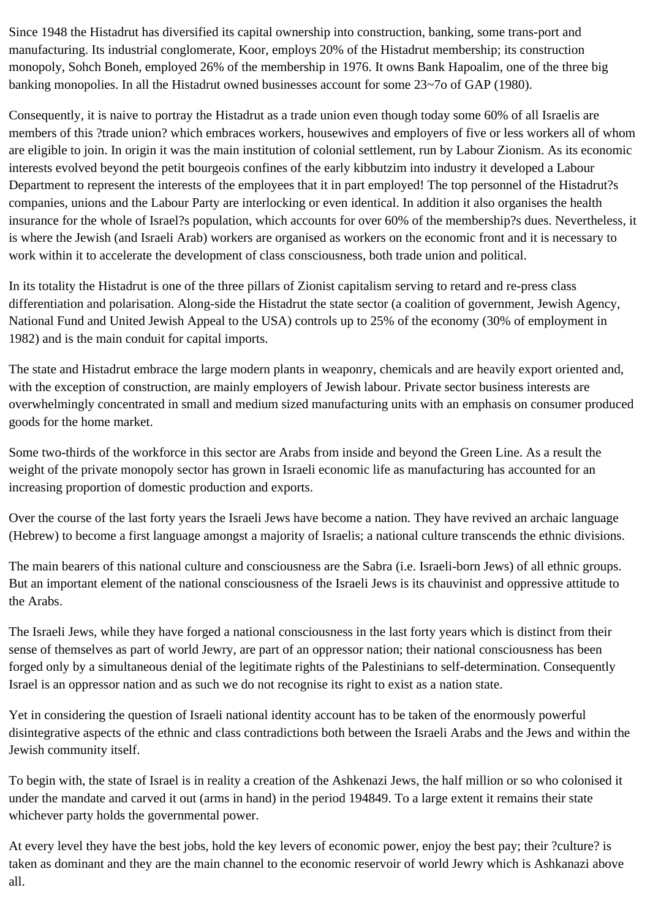Since 1948 the Histadrut has diversified its capital ownership into construction, banking, some trans-port and manufacturing. Its industrial conglomerate, Koor, employs 20% of the Histadrut membership; its construction monopoly, Sohch Boneh, employed 26% of the membership in 1976. It owns Bank Hapoalim, one of the three big banking monopolies. In all the Histadrut owned businesses account for some 23~7o of GAP (1980).

Consequently, it is naive to portray the Histadrut as a trade union even though today some 60% of all Israelis are members of this ?trade union? which embraces workers, housewives and employers of five or less workers all of whom are eligible to join. In origin it was the main institution of colonial settlement, run by Labour Zionism. As its economic interests evolved beyond the petit bourgeois confines of the early kibbutzim into industry it developed a Labour Department to represent the interests of the employees that it in part employed! The top personnel of the Histadrut?s companies, unions and the Labour Party are interlocking or even identical. In addition it also organises the health insurance for the whole of Israel?s population, which accounts for over 60% of the membership?s dues. Nevertheless, it is where the Jewish (and Israeli Arab) workers are organised as workers on the economic front and it is necessary to work within it to accelerate the development of class consciousness, both trade union and political.

In its totality the Histadrut is one of the three pillars of Zionist capitalism serving to retard and re-press class differentiation and polarisation. Along-side the Histadrut the state sector (a coalition of government, Jewish Agency, National Fund and United Jewish Appeal to the USA) controls up to 25% of the economy (30% of employment in 1982) and is the main conduit for capital imports.

The state and Histadrut embrace the large modern plants in weaponry, chemicals and are heavily export oriented and, with the exception of construction, are mainly employers of Jewish labour. Private sector business interests are overwhelmingly concentrated in small and medium sized manufacturing units with an emphasis on consumer produced goods for the home market.

Some two-thirds of the workforce in this sector are Arabs from inside and beyond the Green Line. As a result the weight of the private monopoly sector has grown in Israeli economic life as manufacturing has accounted for an increasing proportion of domestic production and exports.

Over the course of the last forty years the Israeli Jews have become a nation. They have revived an archaic language (Hebrew) to become a first language amongst a majority of Israelis; a national culture transcends the ethnic divisions.

The main bearers of this national culture and consciousness are the Sabra (i.e. Israeli-born Jews) of all ethnic groups. But an important element of the national consciousness of the Israeli Jews is its chauvinist and oppressive attitude to the Arabs.

The Israeli Jews, while they have forged a national consciousness in the last forty years which is distinct from their sense of themselves as part of world Jewry, are part of an oppressor nation; their national consciousness has been forged only by a simultaneous denial of the legitimate rights of the Palestinians to self-determination. Consequently Israel is an oppressor nation and as such we do not recognise its right to exist as a nation state.

Yet in considering the question of Israeli national identity account has to be taken of the enormously powerful disintegrative aspects of the ethnic and class contradictions both between the Israeli Arabs and the Jews and within the Jewish community itself.

To begin with, the state of Israel is in reality a creation of the Ashkenazi Jews, the half million or so who colonised it under the mandate and carved it out (arms in hand) in the period 194849. To a large extent it remains their state whichever party holds the governmental power.

At every level they have the best jobs, hold the key levers of economic power, enjoy the best pay; their ?culture? is taken as dominant and they are the main channel to the economic reservoir of world Jewry which is Ashkanazi above all.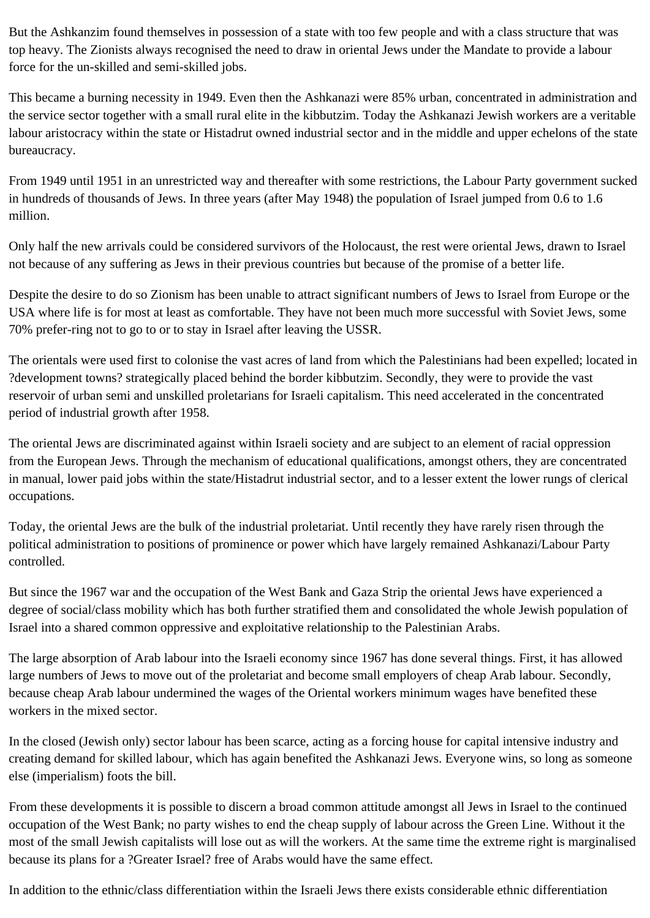But the Ashkanzim found themselves in possession of a state with too few people and with a class structure that was top heavy. The Zionists always recognised the need to draw in oriental Jews under the Mandate to provide a labour force for the un-skilled and semi-skilled jobs.

This became a burning necessity in 1949. Even then the Ashkanazi were 85% urban, concentrated in administration and the service sector together with a small rural elite in the kibbutzim. Today the Ashkanazi Jewish workers are a veritable labour aristocracy within the state or Histadrut owned industrial sector and in the middle and upper echelons of the state bureaucracy.

From 1949 until 1951 in an unrestricted way and thereafter with some restrictions, the Labour Party government sucked in hundreds of thousands of Jews. In three years (after May 1948) the population of Israel jumped from 0.6 to 1.6 million.

Only half the new arrivals could be considered survivors of the Holocaust, the rest were oriental Jews, drawn to Israel not because of any suffering as Jews in their previous countries but because of the promise of a better life.

Despite the desire to do so Zionism has been unable to attract significant numbers of Jews to Israel from Europe or the USA where life is for most at least as comfortable. They have not been much more successful with Soviet Jews, some 70% prefer-ring not to go to or to stay in Israel after leaving the USSR.

The orientals were used first to colonise the vast acres of land from which the Palestinians had been expelled; located in ?development towns? strategically placed behind the border kibbutzim. Secondly, they were to provide the vast reservoir of urban semi and unskilled proletarians for Israeli capitalism. This need accelerated in the concentrated period of industrial growth after 1958.

The oriental Jews are discriminated against within Israeli society and are subject to an element of racial oppression from the European Jews. Through the mechanism of educational qualifications, amongst others, they are concentrated in manual, lower paid jobs within the state/Histadrut industrial sector, and to a lesser extent the lower rungs of clerical occupations.

Today, the oriental Jews are the bulk of the industrial proletariat. Until recently they have rarely risen through the political administration to positions of prominence or power which have largely remained Ashkanazi/Labour Party controlled.

But since the 1967 war and the occupation of the West Bank and Gaza Strip the oriental Jews have experienced a degree of social/class mobility which has both further stratified them and consolidated the whole Jewish population of Israel into a shared common oppressive and exploitative relationship to the Palestinian Arabs.

The large absorption of Arab labour into the Israeli economy since 1967 has done several things. First, it has allowed large numbers of Jews to move out of the proletariat and become small employers of cheap Arab labour. Secondly, because cheap Arab labour undermined the wages of the Oriental workers minimum wages have benefited these workers in the mixed sector.

In the closed (Jewish only) sector labour has been scarce, acting as a forcing house for capital intensive industry and creating demand for skilled labour, which has again benefited the Ashkanazi Jews. Everyone wins, so long as someone else (imperialism) foots the bill.

From these developments it is possible to discern a broad common attitude amongst all Jews in Israel to the continued occupation of the West Bank; no party wishes to end the cheap supply of labour across the Green Line. Without it the most of the small Jewish capitalists will lose out as will the workers. At the same time the extreme right is marginalised because its plans for a ?Greater Israel? free of Arabs would have the same effect.

In addition to the ethnic/class differentiation within the Israeli Jews there exists considerable ethnic differentiation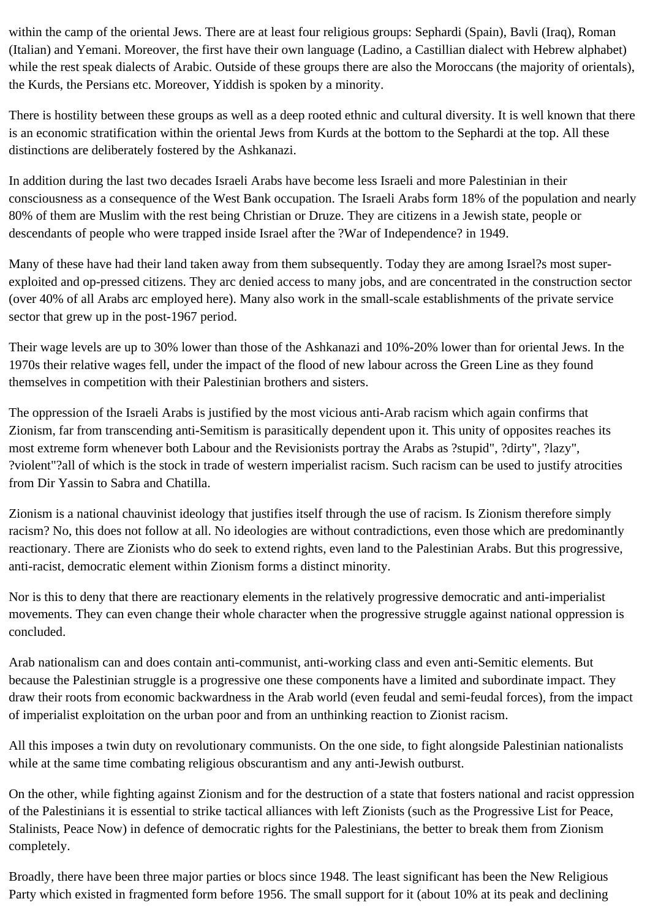within the camp of the oriental Jews. There are at least four religious groups: Sephardi (Spain), Bavli (Iraq), Roman (Italian) and Yemani. Moreover, the first have their own language (Ladino, a Castillian dialect with Hebrew alphabet) while the rest speak dialects of Arabic. Outside of these groups there are also the Moroccans (the majority of orientals), the Kurds, the Persians etc. Moreover, Yiddish is spoken by a minority.

There is hostility between these groups as well as a deep rooted ethnic and cultural diversity. It is well known that there is an economic stratification within the oriental Jews from Kurds at the bottom to the Sephardi at the top. All these distinctions are deliberately fostered by the Ashkanazi.

In addition during the last two decades Israeli Arabs have become less Israeli and more Palestinian in their consciousness as a consequence of the West Bank occupation. The Israeli Arabs form 18% of the population and nearly 80% of them are Muslim with the rest being Christian or Druze. They are citizens in a Jewish state, people or descendants of people who were trapped inside Israel after the ?War of Independence? in 1949.

Many of these have had their land taken away from them subsequently. Today they are among Israel?s most superexploited and op-pressed citizens. They arc denied access to many jobs, and are concentrated in the construction sector (over 40% of all Arabs arc employed here). Many also work in the small-scale establishments of the private service sector that grew up in the post-1967 period.

Their wage levels are up to 30% lower than those of the Ashkanazi and 10%-20% lower than for oriental Jews. In the 1970s their relative wages fell, under the impact of the flood of new labour across the Green Line as they found themselves in competition with their Palestinian brothers and sisters.

The oppression of the Israeli Arabs is justified by the most vicious anti-Arab racism which again confirms that Zionism, far from transcending anti-Semitism is parasitically dependent upon it. This unity of opposites reaches its most extreme form whenever both Labour and the Revisionists portray the Arabs as ?stupid", ?dirty", ?lazy", ?violent"?all of which is the stock in trade of western imperialist racism. Such racism can be used to justify atrocities from Dir Yassin to Sabra and Chatilla.

Zionism is a national chauvinist ideology that justifies itself through the use of racism. Is Zionism therefore simply racism? No, this does not follow at all. No ideologies are without contradictions, even those which are predominantly reactionary. There are Zionists who do seek to extend rights, even land to the Palestinian Arabs. But this progressive, anti-racist, democratic element within Zionism forms a distinct minority.

Nor is this to deny that there are reactionary elements in the relatively progressive democratic and anti-imperialist movements. They can even change their whole character when the progressive struggle against national oppression is concluded.

Arab nationalism can and does contain anti-communist, anti-working class and even anti-Semitic elements. But because the Palestinian struggle is a progressive one these components have a limited and subordinate impact. They draw their roots from economic backwardness in the Arab world (even feudal and semi-feudal forces), from the impact of imperialist exploitation on the urban poor and from an unthinking reaction to Zionist racism.

All this imposes a twin duty on revolutionary communists. On the one side, to fight alongside Palestinian nationalists while at the same time combating religious obscurantism and any anti-Jewish outburst.

On the other, while fighting against Zionism and for the destruction of a state that fosters national and racist oppression of the Palestinians it is essential to strike tactical alliances with left Zionists (such as the Progressive List for Peace, Stalinists, Peace Now) in defence of democratic rights for the Palestinians, the better to break them from Zionism completely.

Broadly, there have been three major parties or blocs since 1948. The least significant has been the New Religious Party which existed in fragmented form before 1956. The small support for it (about 10% at its peak and declining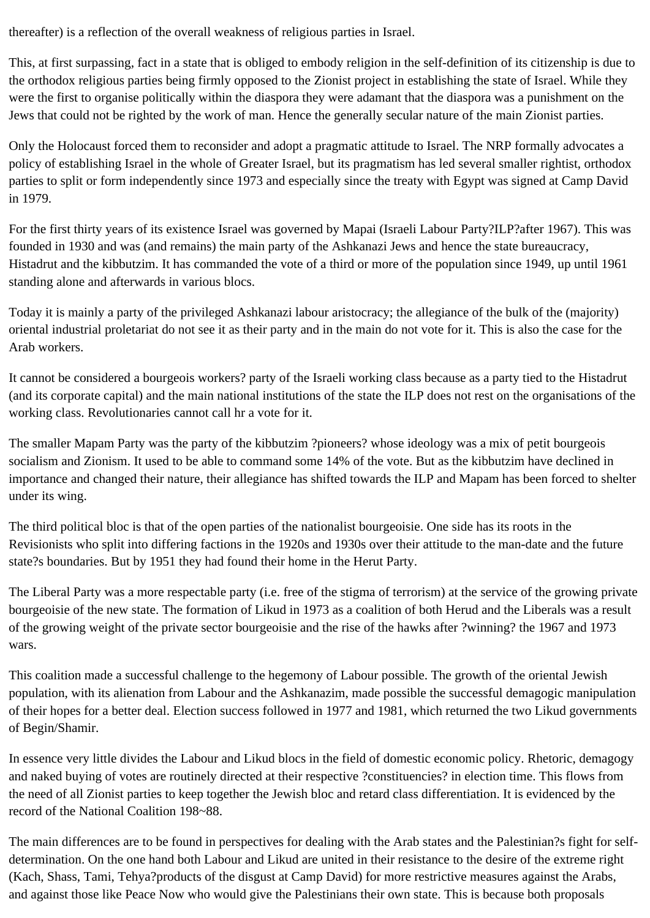thereafter) is a reflection of the overall weakness of religious parties in Israel.

This, at first surpassing, fact in a state that is obliged to embody religion in the self-definition of its citizenship is due to the orthodox religious parties being firmly opposed to the Zionist project in establishing the state of Israel. While they were the first to organise politically within the diaspora they were adamant that the diaspora was a punishment on the Jews that could not be righted by the work of man. Hence the generally secular nature of the main Zionist parties.

Only the Holocaust forced them to reconsider and adopt a pragmatic attitude to Israel. The NRP formally advocates a policy of establishing Israel in the whole of Greater Israel, but its pragmatism has led several smaller rightist, orthodox parties to split or form independently since 1973 and especially since the treaty with Egypt was signed at Camp David in 1979.

For the first thirty years of its existence Israel was governed by Mapai (Israeli Labour Party?ILP?after 1967). This was founded in 1930 and was (and remains) the main party of the Ashkanazi Jews and hence the state bureaucracy, Histadrut and the kibbutzim. It has commanded the vote of a third or more of the population since 1949, up until 1961 standing alone and afterwards in various blocs.

Today it is mainly a party of the privileged Ashkanazi labour aristocracy; the allegiance of the bulk of the (majority) oriental industrial proletariat do not see it as their party and in the main do not vote for it. This is also the case for the Arab workers.

It cannot be considered a bourgeois workers? party of the Israeli working class because as a party tied to the Histadrut (and its corporate capital) and the main national institutions of the state the ILP does not rest on the organisations of the working class. Revolutionaries cannot call hr a vote for it.

The smaller Mapam Party was the party of the kibbutzim ?pioneers? whose ideology was a mix of petit bourgeois socialism and Zionism. It used to be able to command some 14% of the vote. But as the kibbutzim have declined in importance and changed their nature, their allegiance has shifted towards the ILP and Mapam has been forced to shelter under its wing.

The third political bloc is that of the open parties of the nationalist bourgeoisie. One side has its roots in the Revisionists who split into differing factions in the 1920s and 1930s over their attitude to the man-date and the future state?s boundaries. But by 1951 they had found their home in the Herut Party.

The Liberal Party was a more respectable party (i.e. free of the stigma of terrorism) at the service of the growing private bourgeoisie of the new state. The formation of Likud in 1973 as a coalition of both Herud and the Liberals was a result of the growing weight of the private sector bourgeoisie and the rise of the hawks after ?winning? the 1967 and 1973 wars.

This coalition made a successful challenge to the hegemony of Labour possible. The growth of the oriental Jewish population, with its alienation from Labour and the Ashkanazim, made possible the successful demagogic manipulation of their hopes for a better deal. Election success followed in 1977 and 1981, which returned the two Likud governments of Begin/Shamir.

In essence very little divides the Labour and Likud blocs in the field of domestic economic policy. Rhetoric, demagogy and naked buying of votes are routinely directed at their respective ?constituencies? in election time. This flows from the need of all Zionist parties to keep together the Jewish bloc and retard class differentiation. It is evidenced by the record of the National Coalition 198~88.

The main differences are to be found in perspectives for dealing with the Arab states and the Palestinian?s fight for selfdetermination. On the one hand both Labour and Likud are united in their resistance to the desire of the extreme right (Kach, Shass, Tami, Tehya?products of the disgust at Camp David) for more restrictive measures against the Arabs, and against those like Peace Now who would give the Palestinians their own state. This is because both proposals